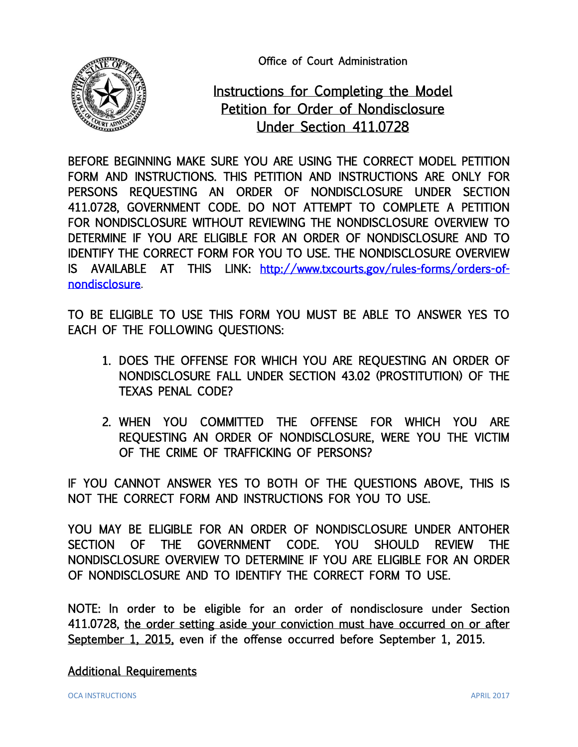Office of Court Administration



# Instructions for Completing the Model Petition for Order of Nondisclosure Under Section 411.0728

BEFORE BEGINNING MAKE SURE YOU ARE USING THE CORRECT MODEL PETITION FORM AND INSTRUCTIONS. THIS PETITION AND INSTRUCTIONS ARE ONLY FOR PERSONS REQUESTING AN ORDER OF NONDISCLOSURE UNDER SECTION 411.0728, GOVERNMENT CODE. DO NOT ATTEMPT TO COMPLETE A PETITION FOR NONDISCLOSURE WITHOUT REVIEWING THE NONDISCLOSURE OVERVIEW TO DETERMINE IF YOU ARE ELIGIBLE FOR AN ORDER OF NONDISCLOSURE AND TO IDENTIFY THE CORRECT FORM FOR YOU TO USE. THE NONDISCLOSURE OVERVIEW IS AVAILABLE AT THIS LINK: [http://www.txcourts.gov/rules-forms/orders-of](http://www.txcourts.gov/rules-forms/orders-of-nondisclosure)[nondisclosure.](http://www.txcourts.gov/rules-forms/orders-of-nondisclosure)

TO BE ELIGIBLE TO USE THIS FORM YOU MUST BE ABLE TO ANSWER YES TO EACH OF THE FOLLOWING QUESTIONS:

- 1. DOES THE OFFENSE FOR WHICH YOU ARE REQUESTING AN ORDER OF NONDISCLOSURE FALL UNDER SECTION 43.02 (PROSTITUTION) OF THE TEXAS PENAL CODE?
- 2. WHEN YOU COMMITTED THE OFFENSE FOR WHICH YOU ARE REQUESTING AN ORDER OF NONDISCLOSURE, WERE YOU THE VICTIM OF THE CRIME OF TRAFFICKING OF PERSONS?

IF YOU CANNOT ANSWER YES TO BOTH OF THE QUESTIONS ABOVE, THIS IS NOT THE CORRECT FORM AND INSTRUCTIONS FOR YOU TO USE.

YOU MAY BE ELIGIBLE FOR AN ORDER OF NONDISCLOSURE UNDER ANTOHER SECTION OF THE GOVERNMENT CODE. YOU SHOULD REVIEW THE NONDISCLOSURE OVERVIEW TO DETERMINE IF YOU ARE ELIGIBLE FOR AN ORDER OF NONDISCLOSURE AND TO IDENTIFY THE CORRECT FORM TO USE.

NOTE: In order to be eligible for an order of nondisclosure under Section 411.0728, the order setting aside your conviction must have occurred on or after September 1, 2015, even if the offense occurred before September 1, 2015.

Additional Requirements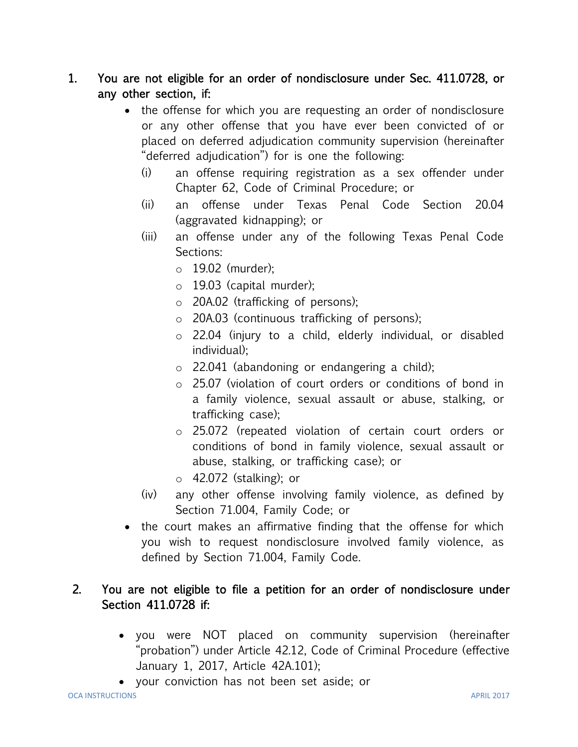## 1. You are not eligible for an order of nondisclosure under Sec. 411.0728, or any other section, if:

- the offense for which you are requesting an order of nondisclosure or any other offense that you have ever been convicted of or placed on deferred adjudication community supervision (hereinafter "deferred adjudication") for is one the following:
	- (i) an offense requiring registration as a sex offender under Chapter 62, Code of Criminal Procedure; or
	- (ii) an offense under Texas Penal Code Section 20.04 (aggravated kidnapping); or
	- (iii) an offense under any of the following Texas Penal Code Sections:
		- o 19.02 (murder);
		- o 19.03 (capital murder);
		- o 20A.02 (trafficking of persons);
		- o 20A.03 (continuous trafficking of persons);
		- o 22.04 (injury to a child, elderly individual, or disabled individual);
		- o 22.041 (abandoning or endangering a child);
		- o 25.07 (violation of court orders or conditions of bond in a family violence, sexual assault or abuse, stalking, or trafficking case);
		- o 25.072 (repeated violation of certain court orders or conditions of bond in family violence, sexual assault or abuse, stalking, or trafficking case); or
		- o 42.072 (stalking); or
	- (iv) any other offense involving family violence, as defined by Section 71.004, Family Code; or
- the court makes an affirmative finding that the offense for which you wish to request nondisclosure involved family violence, as defined by Section 71.004, Family Code.

## 2. You are not eligible to file a petition for an order of nondisclosure under Section 411.0728 if:

- you were NOT placed on community supervision (hereinafter "probation") under Article 42.12, Code of Criminal Procedure (effective January 1, 2017, Article 42A.101);
- your conviction has not been set aside; or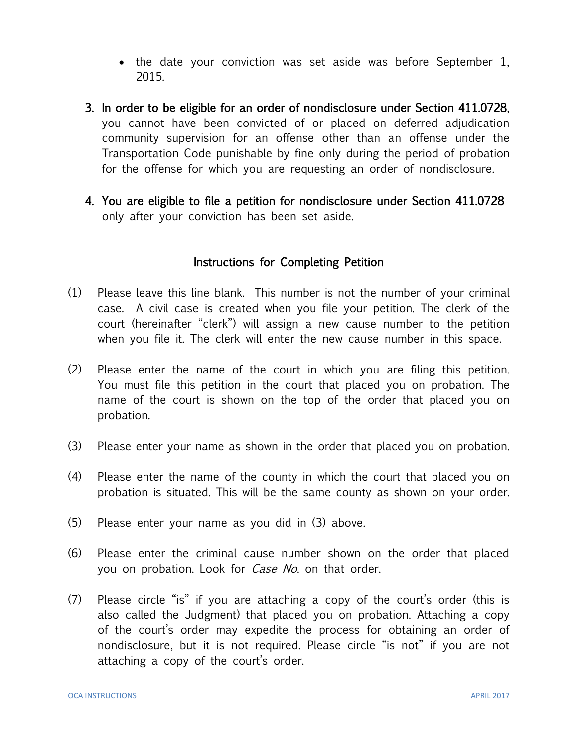- the date your conviction was set aside was before September 1, 2015.
- 3. In order to be eligible for an order of nondisclosure under Section 411.0728, you cannot have been convicted of or placed on deferred adjudication community supervision for an offense other than an offense under the Transportation Code punishable by fine only during the period of probation for the offense for which you are requesting an order of nondisclosure.
- 4. You are eligible to file a petition for nondisclosure under Section 411.0728 only after your conviction has been set aside.

#### Instructions for Completing Petition

- (1) Please leave this line blank. This number is not the number of your criminal case. A civil case is created when you file your petition. The clerk of the court (hereinafter "clerk") will assign a new cause number to the petition when you file it. The clerk will enter the new cause number in this space.
- (2) Please enter the name of the court in which you are filing this petition. You must file this petition in the court that placed you on probation. The name of the court is shown on the top of the order that placed you on probation.
- (3) Please enter your name as shown in the order that placed you on probation.
- (4) Please enter the name of the county in which the court that placed you on probation is situated. This will be the same county as shown on your order.
- (5) Please enter your name as you did in (3) above.
- (6) Please enter the criminal cause number shown on the order that placed you on probation. Look for *Case No*. on that order.
- (7) Please circle "is" if you are attaching a copy of the court's order (this is also called the Judgment) that placed you on probation. Attaching a copy of the court's order may expedite the process for obtaining an order of nondisclosure, but it is not required. Please circle "is not" if you are not attaching a copy of the court's order.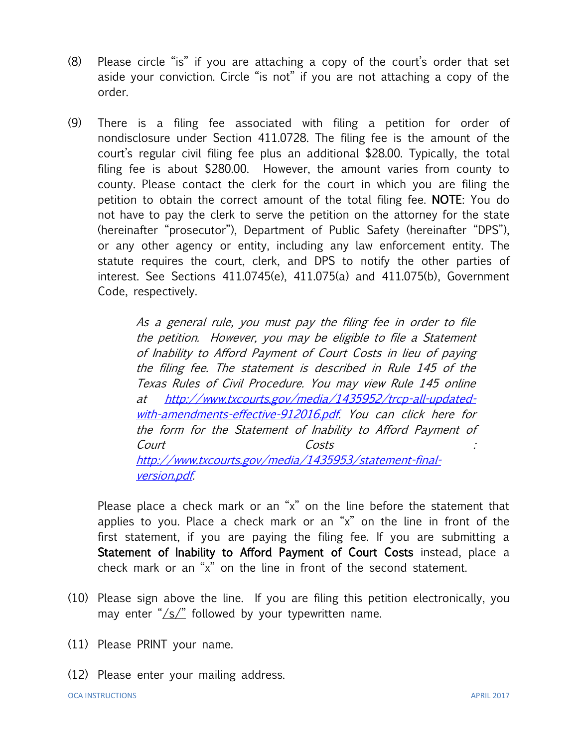- (8) Please circle "is" if you are attaching a copy of the court's order that set aside your conviction. Circle "is not" if you are not attaching a copy of the order.
- (9) There is a filing fee associated with filing a petition for order of nondisclosure under Section 411.0728. The filing fee is the amount of the court's regular civil filing fee plus an additional \$28.00. Typically, the total filing fee is about \$280.00. However, the amount varies from county to county. Please contact the clerk for the court in which you are filing the petition to obtain the correct amount of the total filing fee. NOTE: You do not have to pay the clerk to serve the petition on the attorney for the state (hereinafter "prosecutor"), Department of Public Safety (hereinafter "DPS"), or any other agency or entity, including any law enforcement entity. The statute requires the court, clerk, and DPS to notify the other parties of interest. See Sections 411.0745(e), 411.075(a) and 411.075(b), Government Code, respectively.

As a general rule, you must pay the filing fee in order to file the petition. However, you may be eligible to file a Statement of Inability to Afford Payment of Court Costs in lieu of paying the filing fee. The statement is described in Rule 145 of the Texas Rules of Civil Procedure. You may view Rule 145 online at [http://www.txcourts.gov/media/1435952/trcp-all-updated](http://www.txcourts.gov/media/1435952/trcp-all-updated-with-amendments-effective-912016.pdf)[with-amendments-effective-912016.pdf.](http://www.txcourts.gov/media/1435952/trcp-all-updated-with-amendments-effective-912016.pdf) You can click here for the form for the Statement of Inability to Afford Payment of Court Costs : [http://www.txcourts.gov/media/1435953/statement-final](http://www.txcourts.gov/media/1435953/statement-final-version.pdf)[version.pdf.](http://www.txcourts.gov/media/1435953/statement-final-version.pdf)

Please place a check mark or an "x" on the line before the statement that applies to you. Place a check mark or an "x" on the line in front of the first statement, if you are paying the filing fee. If you are submitting a Statement of Inability to Afford Payment of Court Costs instead, place a check mark or an "x" on the line in front of the second statement.

- (10) Please sign above the line. If you are filing this petition electronically, you may enter "/s/" followed by your typewritten name.
- (11) Please PRINT your name.
- (12) Please enter your mailing address.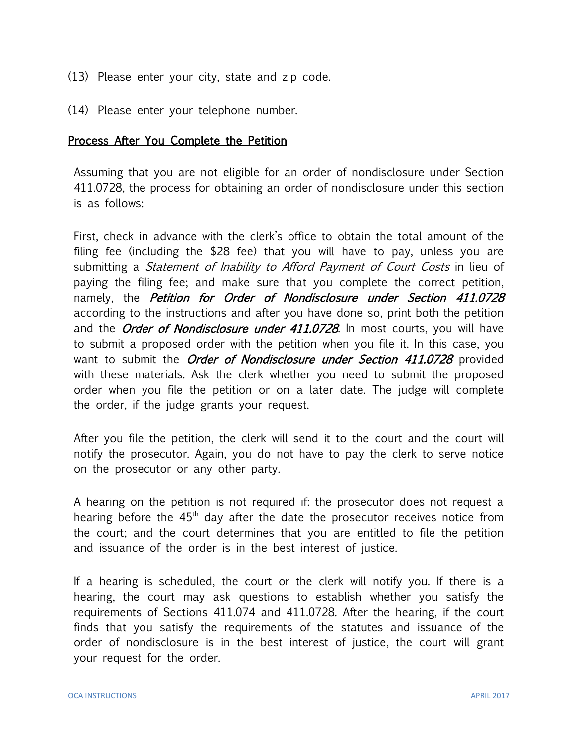- (13) Please enter your city, state and zip code.
- (14) Please enter your telephone number.

#### Process After You Complete the Petition

Assuming that you are not eligible for an order of nondisclosure under Section 411.0728, the process for obtaining an order of nondisclosure under this section is as follows:

First, check in advance with the clerk's office to obtain the total amount of the filing fee (including the \$28 fee) that you will have to pay, unless you are submitting a *Statement of Inability to Afford Payment of Court Costs* in lieu of paying the filing fee; and make sure that you complete the correct petition, namely, the *Petition for Order of Nondisclosure under Section 411.0728* according to the instructions and after you have done so, print both the petition and the Order of Nondisclosure under 411.0728. In most courts, you will have to submit a proposed order with the petition when you file it. In this case, you want to submit the *Order of Nondisclosure under Section 411.0728* provided with these materials. Ask the clerk whether you need to submit the proposed order when you file the petition or on a later date. The judge will complete the order, if the judge grants your request.

After you file the petition, the clerk will send it to the court and the court will notify the prosecutor. Again, you do not have to pay the clerk to serve notice on the prosecutor or any other party.

A hearing on the petition is not required if: the prosecutor does not request a hearing before the  $45<sup>th</sup>$  day after the date the prosecutor receives notice from the court; and the court determines that you are entitled to file the petition and issuance of the order is in the best interest of justice.

If a hearing is scheduled, the court or the clerk will notify you. If there is a hearing, the court may ask questions to establish whether you satisfy the requirements of Sections 411.074 and 411.0728. After the hearing, if the court finds that you satisfy the requirements of the statutes and issuance of the order of nondisclosure is in the best interest of justice, the court will grant your request for the order.